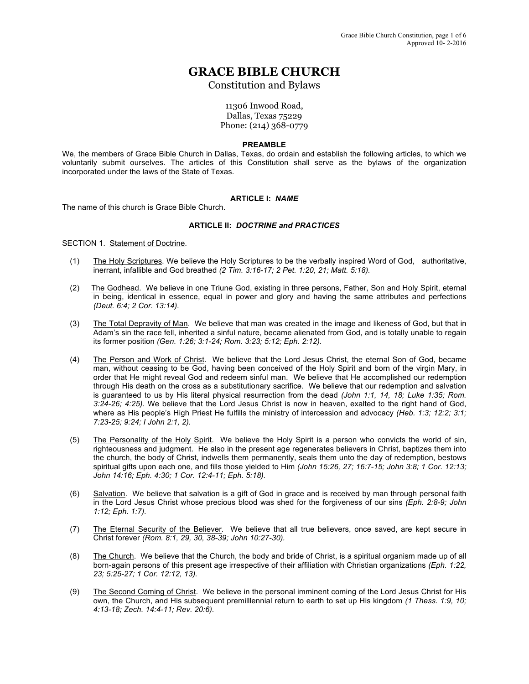# **GRACE BIBLE CHURCH**

Constitution and Bylaws

11306 Inwood Road, Dallas, Texas 75229 Phone: (214) 368-0779

## **PREAMBLE**

We, the members of Grace Bible Church in Dallas, Texas, do ordain and establish the following articles, to which we voluntarily submit ourselves. The articles of this Constitution shall serve as the bylaws of the organization incorporated under the laws of the State of Texas.

# **ARTICLE I:** *NAME*

The name of this church is Grace Bible Church.

# **ARTICLE II:** *DOCTRINE and PRACTICES*

SECTION 1. Statement of Doctrine.

- (1) The Holy Scriptures. We believe the Holy Scriptures to be the verbally inspired Word of God, authoritative, inerrant, infallible and God breathed *(2 Tim. 3:16-17; 2 Pet. 1:20, 21; Matt. 5:18).*
- (2) The Godhead. We believe in one Triune God, existing in three persons, Father, Son and Holy Spirit, eternal in being, identical in essence, equal in power and glory and having the same attributes and perfections *(Deut. 6:4; 2 Cor. 13:14).*
- (3) The Total Depravity of Man. We believe that man was created in the image and likeness of God, but that in Adam's sin the race fell, inherited a sinful nature, became alienated from God, and is totally unable to regain its former position *(Gen. 1:26; 3:1-24; Rom. 3:23; 5:12; Eph. 2:12).*
- (4) The Person and Work of Christ. We believe that the Lord Jesus Christ, the eternal Son of God, became man, without ceasing to be God, having been conceived of the Holy Spirit and born of the virgin Mary, in order that He might reveal God and redeem sinful man. We believe that He accomplished our redemption through His death on the cross as a substitutionary sacrifice. We believe that our redemption and salvation is guaranteed to us by His literal physical resurrection from the dead *(John 1:1, 14, 18; Luke 1:35; Rom. 3:24-26; 4:25).* We believe that the Lord Jesus Christ is now in heaven, exalted to the right hand of God, where as His people's High Priest He fulfills the ministry of intercession and advocacy *(Heb. 1:3; 12:2; 3:1; 7:23-25; 9:24; I John 2:1, 2).*
- (5) The Personality of the Holy Spirit. We believe the Holy Spirit is a person who convicts the world of sin, righteousness and judgment. He also in the present age regenerates believers in Christ, baptizes them into the church, the body of Christ, indwells them permanently, seals them unto the day of redemption, bestows spiritual gifts upon each one, and fills those yielded to Him *(John 15:26, 27; 16:7-15; John 3:8; 1 Cor. 12:13; John 14:16; Eph. 4:30; 1 Cor. 12:4-11; Eph. 5:18).*
- (6) Salvation. We believe that salvation is a gift of God in grace and is received by man through personal faith in the Lord Jesus Christ whose precious blood was shed for the forgiveness of our sins *(Eph. 2:8-9; John 1:12; Eph. 1:7).*
- (7) The Eternal Security of the Believer. We believe that all true believers, once saved, are kept secure in Christ forever *(Rom. 8:1, 29, 30, 38-39; John 10:27-30).*
- (8) The Church. We believe that the Church, the body and bride of Christ, is a spiritual organism made up of all born-again persons of this present age irrespective of their affiliation with Christian organizations *(Eph. 1:22, 23; 5:25-27; 1 Cor. 12:12, 13).*
- (9) The Second Coming of Christ. We believe in the personal imminent coming of the Lord Jesus Christ for His own, the Church, and His subsequent premilllennial return to earth to set up His kingdom *(1 Thess. 1:9, 10; 4:13-18; Zech. 14:4-11; Rev. 20:6).*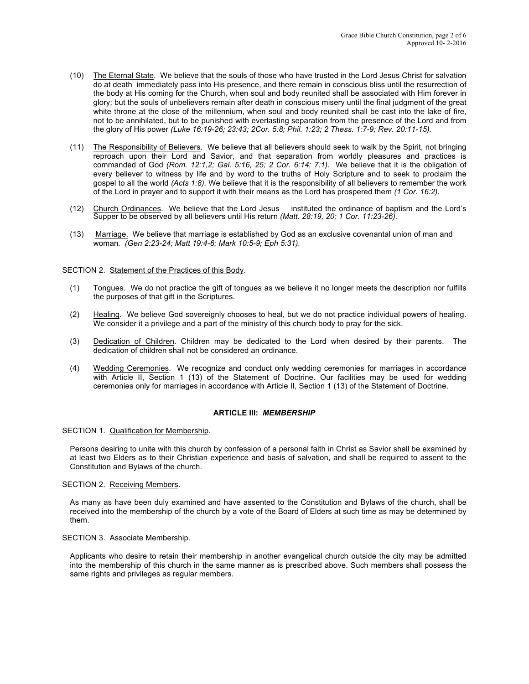- (10) The Eternal State. We believe that the souls of those who have trusted in the Lord Jesus Christ for salvation do at death immediately pass into His presence, and there remain in conscious bliss until the resurrection of the body at His coming for the Church, when soul and body reunited shall be associated with Him forever in glory; but the souls of unbelievers remain after death in conscious misery until the final judgment of the great white throne at the close of the millennium, when soul and body reunited shall be cast into the lake of fire, not to be annihilated, but to be punished with everlasting separation from the presence of the Lord and from the glory of His power *(Luke 16:19-26; 23:43; 2Cor. 5:8; Phil. 1:23; 2 Thess. 1:7-9; Rev. 20:11-15).*
- (11) The Responsibility of Believers. We believe that all believers should seek to walk by the Spirit, not bringing reproach upon their Lord and Savior, and that separation from worldly pleasures and practices is commanded of God *(Rom. 12:1,2; Gal. 5:16, 25; 2 Cor. 6:14; 7:1).* We believe that it is the obligation of every believer to witness by life and by word to the truths of Holy Scripture and to seek to proclaim the gospel to all the world *(Acts 1:8).* We believe that it is the responsibility of all believers to remember the work of the Lord in prayer and to support it with their means as the Lord has prospered them *(1 Cor. 16:2).*
- (12) Church Ordinances. We believe that the Lord Jesus instituted the ordinance of baptism and the Lord's Supper to be observed by all believers until His return *(Matt. 28:19, 20; 1 Cor. 11:23-26).*
- (13) Marriage. We believe that marriage is established by God as an exclusive covenantal union of man and woman*. (Gen 2:23-24; Matt 19:4-6; Mark 10:5-9; Eph 5:31).*

#### SECTION 2. Statement of the Practices of this Body.

- (1) Tongues. We do not practice the gift of tongues as we believe it no longer meets the description nor fulfills the purposes of that gift in the Scriptures.
- (2) Healing. We believe God sovereignly chooses to heal, but we do not practice individual powers of healing. We consider it a privilege and a part of the ministry of this church body to pray for the sick.
- (3) Dedication of Children. Children may be dedicated to the Lord when desired by their parents. The dedication of children shall not be considered an ordinance.
- (4) Wedding Ceremonies. We recognize and conduct only wedding ceremonies for marriages in accordance with Article II, Section 1 (13) of the Statement of Doctrine. Our facilities may be used for wedding ceremonies only for marriages in accordance with Article II, Section 1 (13) of the Statement of Doctrine.

## **ARTICLE III:** *MEMBERSHIP*

SECTION 1. Qualification for Membership.

Persons desiring to unite with this church by confession of a personal faith in Christ as Savior shall be examined by at least two Elders as to their Christian experience and basis of salvation, and shall be required to assent to the Constitution and Bylaws of the church.

#### SECTION 2. Receiving Members.

As many as have been duly examined and have assented to the Constitution and Bylaws of the church, shall be received into the membership of the church by a vote of the Board of Elders at such time as may be determined by them.

## SECTION 3. Associate Membership.

Applicants who desire to retain their membership in another evangelical church outside the city may be admitted into the membership of this church in the same manner as is prescribed above. Such members shall possess the same rights and privileges as regular members.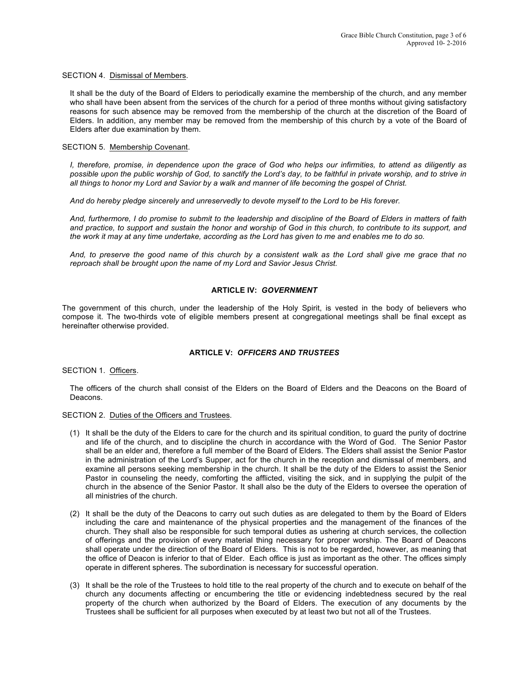SECTION 4. Dismissal of Members.

It shall be the duty of the Board of Elders to periodically examine the membership of the church, and any member who shall have been absent from the services of the church for a period of three months without giving satisfactory reasons for such absence may be removed from the membership of the church at the discretion of the Board of Elders. In addition, any member may be removed from the membership of this church by a vote of the Board of Elders after due examination by them.

#### SECTION 5. Membership Covenant.

*I, therefore, promise, in dependence upon the grace of God who helps our infirmities, to attend as diligently as possible upon the public worship of God, to sanctify the Lord's day, to be faithful in private worship, and to strive in all things to honor my Lord and Savior by a walk and manner of life becoming the gospel of Christ.*

*And do hereby pledge sincerely and unreservedly to devote myself to the Lord to be His forever.*

*And, furthermore, I do promise to submit to the leadership and discipline of the Board of Elders in matters of faith and practice, to support and sustain the honor and worship of God in this church, to contribute to its support, and the work it may at any time undertake, according as the Lord has given to me and enables me to do so.*

*And, to preserve the good name of this church by a consistent walk as the Lord shall give me grace that no reproach shall be brought upon the name of my Lord and Savior Jesus Christ.*

# **ARTICLE IV:** *GOVERNMENT*

The government of this church, under the leadership of the Holy Spirit, is vested in the body of believers who compose it. The two-thirds vote of eligible members present at congregational meetings shall be final except as hereinafter otherwise provided.

# **ARTICLE V:** *OFFICERS AND TRUSTEES*

SECTION 1. Officers.

The officers of the church shall consist of the Elders on the Board of Elders and the Deacons on the Board of Deacons.

## SECTION 2. Duties of the Officers and Trustees.

- (1) It shall be the duty of the Elders to care for the church and its spiritual condition, to guard the purity of doctrine and life of the church, and to discipline the church in accordance with the Word of God. The Senior Pastor shall be an elder and, therefore a full member of the Board of Elders. The Elders shall assist the Senior Pastor in the administration of the Lord's Supper, act for the church in the reception and dismissal of members, and examine all persons seeking membership in the church. It shall be the duty of the Elders to assist the Senior Pastor in counseling the needy, comforting the afflicted, visiting the sick, and in supplying the pulpit of the church in the absence of the Senior Pastor. It shall also be the duty of the Elders to oversee the operation of all ministries of the church.
- (2) It shall be the duty of the Deacons to carry out such duties as are delegated to them by the Board of Elders including the care and maintenance of the physical properties and the management of the finances of the church. They shall also be responsible for such temporal duties as ushering at church services, the collection of offerings and the provision of every material thing necessary for proper worship. The Board of Deacons shall operate under the direction of the Board of Elders. This is not to be regarded, however, as meaning that the office of Deacon is inferior to that of Elder. Each office is just as important as the other. The offices simply operate in different spheres. The subordination is necessary for successful operation.
- (3) It shall be the role of the Trustees to hold title to the real property of the church and to execute on behalf of the church any documents affecting or encumbering the title or evidencing indebtedness secured by the real property of the church when authorized by the Board of Elders. The execution of any documents by the Trustees shall be sufficient for all purposes when executed by at least two but not all of the Trustees.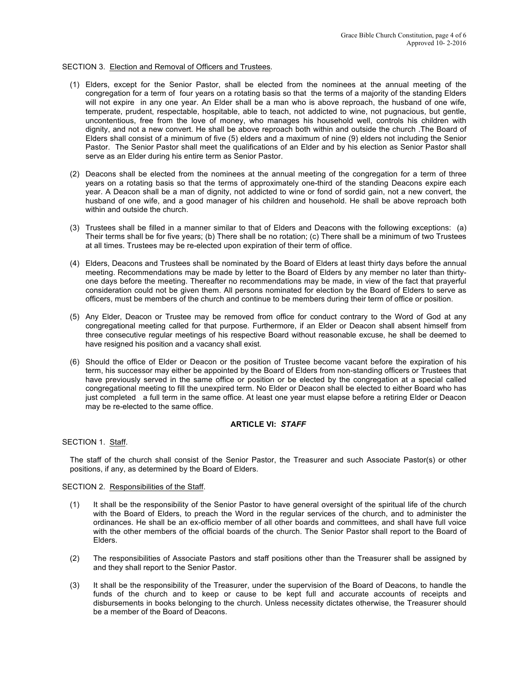## SECTION 3. Election and Removal of Officers and Trustees.

- (1) Elders, except for the Senior Pastor, shall be elected from the nominees at the annual meeting of the congregation for a term of four years on a rotating basis so that the terms of a majority of the standing Elders will not expire in any one year. An Elder shall be a man who is above reproach, the husband of one wife, temperate, prudent, respectable, hospitable, able to teach, not addicted to wine, not pugnacious, but gentle, uncontentious, free from the love of money, who manages his household well, controls his children with dignity, and not a new convert. He shall be above reproach both within and outside the church .The Board of Elders shall consist of a minimum of five (5) elders and a maximum of nine (9) elders not including the Senior Pastor. The Senior Pastor shall meet the qualifications of an Elder and by his election as Senior Pastor shall serve as an Elder during his entire term as Senior Pastor.
- (2) Deacons shall be elected from the nominees at the annual meeting of the congregation for a term of three years on a rotating basis so that the terms of approximately one-third of the standing Deacons expire each year. A Deacon shall be a man of dignity, not addicted to wine or fond of sordid gain, not a new convert, the husband of one wife, and a good manager of his children and household. He shall be above reproach both within and outside the church.
- (3) Trustees shall be filled in a manner similar to that of Elders and Deacons with the following exceptions: (a) Their terms shall be for five years; (b) There shall be no rotation; (c) There shall be a minimum of two Trustees at all times. Trustees may be re-elected upon expiration of their term of office.
- (4) Elders, Deacons and Trustees shall be nominated by the Board of Elders at least thirty days before the annual meeting. Recommendations may be made by letter to the Board of Elders by any member no later than thirtyone days before the meeting. Thereafter no recommendations may be made, in view of the fact that prayerful consideration could not be given them. All persons nominated for election by the Board of Elders to serve as officers, must be members of the church and continue to be members during their term of office or position.
- (5) Any Elder, Deacon or Trustee may be removed from office for conduct contrary to the Word of God at any congregational meeting called for that purpose. Furthermore, if an Elder or Deacon shall absent himself from three consecutive regular meetings of his respective Board without reasonable excuse, he shall be deemed to have resigned his position and a vacancy shall exist.
- (6) Should the office of Elder or Deacon or the position of Trustee become vacant before the expiration of his term, his successor may either be appointed by the Board of Elders from non-standing officers or Trustees that have previously served in the same office or position or be elected by the congregation at a special called congregational meeting to fill the unexpired term. No Elder or Deacon shall be elected to either Board who has just completed a full term in the same office. At least one year must elapse before a retiring Elder or Deacon may be re-elected to the same office.

#### **ARTICLE VI:** *STAFF*

SECTION 1. Staff.

The staff of the church shall consist of the Senior Pastor, the Treasurer and such Associate Pastor(s) or other positions, if any, as determined by the Board of Elders.

#### SECTION 2. Responsibilities of the Staff.

- (1) It shall be the responsibility of the Senior Pastor to have general oversight of the spiritual life of the church with the Board of Elders, to preach the Word in the regular services of the church, and to administer the ordinances. He shall be an ex-officio member of all other boards and committees, and shall have full voice with the other members of the official boards of the church. The Senior Pastor shall report to the Board of Elders.
- (2) The responsibilities of Associate Pastors and staff positions other than the Treasurer shall be assigned by and they shall report to the Senior Pastor.
- (3) It shall be the responsibility of the Treasurer, under the supervision of the Board of Deacons, to handle the funds of the church and to keep or cause to be kept full and accurate accounts of receipts and disbursements in books belonging to the church. Unless necessity dictates otherwise, the Treasurer should be a member of the Board of Deacons.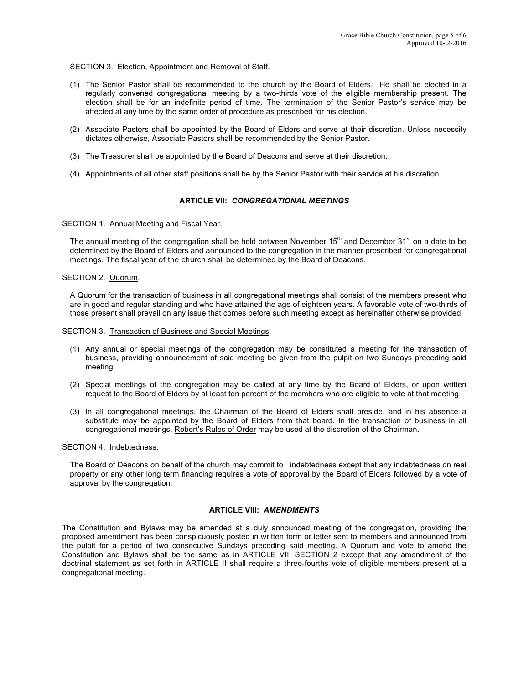## SECTION 3. Election, Appointment and Removal of Staff.

- (1) The Senior Pastor shall be recommended to the church by the Board of Elders. He shall be elected in a regularly convened congregational meeting by a two-thirds vote of the eligible membership present. The election shall be for an indefinite period of time. The termination of the Senior Pastor's service may be affected at any time by the same order of procedure as prescribed for his election.
- (2) Associate Pastors shall be appointed by the Board of Elders and serve at their discretion. Unless necessity dictates otherwise, Associate Pastors shall be recommended by the Senior Pastor.
- (3) The Treasurer shall be appointed by the Board of Deacons and serve at their discretion.
- (4) Appointments of all other staff positions shall be by the Senior Pastor with their service at his discretion.

#### **ARTICLE VII:** *CONGREGATIONAL MEETINGS*

#### SECTION 1. Annual Meeting and Fiscal Year.

The annual meeting of the congregation shall be held between November  $15<sup>th</sup>$  and December  $31<sup>st</sup>$  on a date to be determined by the Board of Elders and announced to the congregation in the manner prescribed for congregational meetings. The fiscal year of the church shall be determined by the Board of Deacons.

#### SECTION 2. Quorum.

A Quorum for the transaction of business in all congregational meetings shall consist of the members present who are in good and regular standing and who have attained the age of eighteen years. A favorable vote of two-thirds of those present shall prevail on any issue that comes before such meeting except as hereinafter otherwise provided.

SECTION 3. Transaction of Business and Special Meetings.

- (1) Any annual or special meetings of the congregation may be constituted a meeting for the transaction of business, providing announcement of said meeting be given from the pulpit on two Sundays preceding said meeting.
- (2) Special meetings of the congregation may be called at any time by the Board of Elders, or upon written request to the Board of Elders by at least ten percent of the members who are eligible to vote at that meeting
- (3) In all congregational meetings, the Chairman of the Board of Elders shall preside, and in his absence a substitute may be appointed by the Board of Elders from that board. In the transaction of business in all congregational meetings, Robert's Rules of Order may be used at the discretion of the Chairman.

## SECTION 4. Indebtedness.

The Board of Deacons on behalf of the church may commit to indebtedness except that any indebtedness on real property or any other long term financing requires a vote of approval by the Board of Elders followed by a vote of approval by the congregation.

# **ARTICLE VIII:** *AMENDMENTS*

The Constitution and Bylaws may be amended at a duly announced meeting of the congregation, providing the proposed amendment has been conspicuously posted in written form or letter sent to members and announced from the pulpit for a period of two consecutive Sundays preceding said meeting. A Quorum and vote to amend the Constitution and Bylaws shall be the same as in ARTICLE VII, SECTION 2 except that any amendment of the doctrinal statement as set forth in ARTICLE II shall require a three-fourths vote of eligible members present at a congregational meeting.